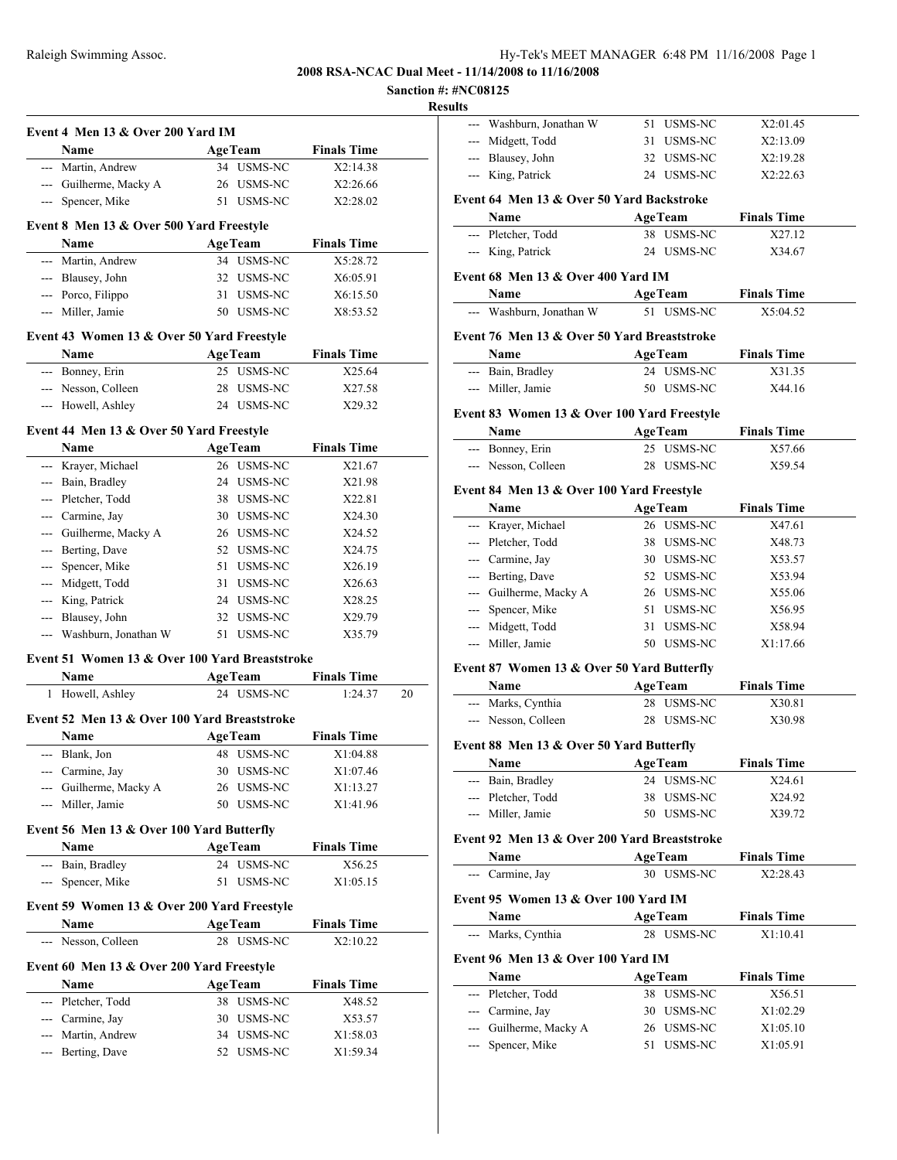## **2008 RSA-NCAC Dual Meet - 11/14/2008 to 11/16/2008**

**Sanction #: #NC08125**

**Results**

|                                                |                |                              | <b>Results</b>                      |
|------------------------------------------------|----------------|------------------------------|-------------------------------------|
| Event 4 Men 13 & Over 200 Yard IM              |                |                              | ---<br>Washbu                       |
| Name                                           | <b>AgeTeam</b> | <b>Finals Time</b>           | Midgett<br>$---$                    |
| --- Martin, Andrew                             | 34 USMS-NC     | X2:14.38                     | Blausey<br>---                      |
| --- Guilherme, Macky A                         | 26 USMS-NC     | X2:26.66                     | King, P<br>$---$                    |
| --- Spencer, Mike                              | 51 USMS-NC     | X2:28.02                     | Event 64 Me                         |
|                                                |                |                              | Name                                |
| Event 8 Men 13 & Over 500 Yard Freestyle       |                |                              | --- Pletche                         |
| Name                                           | <b>AgeTeam</b> | <b>Finals Time</b>           | --- King, P                         |
| --- Martin, Andrew                             | 34 USMS-NC     | X5:28.72                     |                                     |
| --- Blausey, John                              | 32 USMS-NC     | X6:05.91                     | Event 68 Me                         |
| --- Porco, Filippo                             | 31 USMS-NC     | X6:15.50                     | Name                                |
| --- Miller, Jamie                              | 50 USMS-NC     | X8:53.52                     | Washbu<br>---                       |
| Event 43 Women 13 & Over 50 Yard Freestyle     |                |                              | Event 76 Me                         |
| Name                                           | <b>AgeTeam</b> | <b>Finals Time</b>           | Name                                |
| --- Bonney, Erin                               | 25 USMS-NC     | X25.64                       | --- Bain, B                         |
| --- Nesson, Colleen                            | 28 USMS-NC     | X27.58                       | --- Miller,                         |
| --- Howell, Ashley                             | 24 USMS-NC     | X29.32                       |                                     |
| Event 44 Men 13 & Over 50 Yard Freestyle       |                |                              | Event 83 Wo                         |
|                                                |                | <b>Finals Time</b>           | Name                                |
| Name                                           | <b>AgeTeam</b> |                              | --- Bonney                          |
| --- Krayer, Michael                            | 26 USMS-NC     | X21.67                       | --- Nesson.                         |
| --- Bain, Bradley                              | 24 USMS-NC     | X21.98                       | Event 84 Me                         |
| --- Pletcher, Todd                             | 38 USMS-NC     | X22.81                       | Name                                |
| --- Carmine, Jay                               | 30 USMS-NC     | X24.30                       | --- Krayer,                         |
| --- Guilherme, Macky A                         | 26 USMS-NC     | X24.52                       | Pletche                             |
| --- Berting, Dave                              | 52 USMS-NC     | X24.75                       | Carmin                              |
| --- Spencer, Mike                              | 51 USMS-NC     | X26.19                       | --- Berting                         |
| --- Midgett, Todd                              | 31 USMS-NC     | X26.63                       | Guilher<br>$---$                    |
| --- King, Patrick                              | 24 USMS-NC     | X28.25                       | Spencer                             |
| --- Blausey, John                              | 32 USMS-NC     | X29.79                       | --- Midgett                         |
| --- Washburn, Jonathan W                       | 51 USMS-NC     | X35.79                       | --- Miller,                         |
| Event 51 Women 13 & Over 100 Yard Breaststroke |                |                              |                                     |
| Name                                           | <b>AgeTeam</b> | <b>Finals Time</b>           | Event 87 Wo                         |
| 1 Howell, Ashley                               | 24 USMS-NC     | 1:24.37                      | Name<br>20<br>--- Marks.            |
| Event 52 Men 13 & Over 100 Yard Breaststroke   |                |                              | --- Nesson.                         |
| Name                                           | <b>AgeTeam</b> | <b>Finals Time</b>           |                                     |
| --- Blank, Jon                                 | 48 USMS-NC     | X1:04.88                     | Event 88 Me                         |
| --- Carmine, Jay                               | 30 USMS-NC     | X1:07.46                     | Name                                |
| --- Guilherme, Macky A                         | 26 USMS-NC     | X1:13.27                     | Bain, B<br>$---$                    |
| --- Miller, Jamie                              | 50 USMS-NC     | X1:41.96                     | Pletche<br>$\overline{\phantom{a}}$ |
|                                                |                |                              | Miller,                             |
| Event 56 Men 13 & Over 100 Yard Butterfly      |                |                              | Event 92 Me                         |
| Name                                           | <b>AgeTeam</b> | <b>Finals Time</b><br>X56.25 | Name                                |
| --- Bain, Bradley<br>--- Spencer, Mike         | 24 USMS-NC     |                              | --- Carmin                          |
|                                                | 51 USMS-NC     | X1:05.15                     | Event 95 Wo                         |
| Event 59 Women 13 & Over 200 Yard Freestyle    |                |                              |                                     |
| Name                                           | <b>AgeTeam</b> | <b>Finals Time</b>           | Name<br>Marks,<br>---               |
| --- Nesson, Colleen                            | 28 USMS-NC     | X2:10.22                     |                                     |
| Event 60 Men 13 & Over 200 Yard Freestyle      |                |                              | Event 96 Me                         |
| Name                                           | <b>AgeTeam</b> | <b>Finals Time</b>           | Name                                |
| --- Pletcher, Todd                             | 38 USMS-NC     | X48.52                       | Pletche<br>$-$                      |
| --- Carmine, Jay                               | 30 USMS-NC     | X53.57                       | Carmin<br>$---$                     |
| Martin, Andrew                                 | 34 USMS-NC     | X1:58.03                     | Guilher<br>$---$                    |
| --- Berting, Dave                              | 52 USMS-NC     | X1:59.34                     | Spencer                             |
|                                                |                |                              |                                     |
|                                                |                |                              |                                     |

| படல                                       |                                              |    |                |                    |  |  |  |  |  |
|-------------------------------------------|----------------------------------------------|----|----------------|--------------------|--|--|--|--|--|
|                                           | --- Washburn, Jonathan W                     | 51 | USMS-NC        | X2:01.45           |  |  |  |  |  |
|                                           | --- Midgett, Todd                            | 31 | USMS-NC        | X2:13.09           |  |  |  |  |  |
|                                           | --- Blausey, John                            |    | 32 USMS-NC     | X2:19.28           |  |  |  |  |  |
|                                           | --- King, Patrick                            |    | 24 USMS-NC     | X2:22.63           |  |  |  |  |  |
|                                           |                                              |    |                |                    |  |  |  |  |  |
| Event 64 Men 13 & Over 50 Yard Backstroke |                                              |    |                |                    |  |  |  |  |  |
|                                           | Name                                         |    | <b>AgeTeam</b> | <b>Finals Time</b> |  |  |  |  |  |
|                                           | --- Pletcher, Todd                           |    | 38 USMS-NC     | X27.12             |  |  |  |  |  |
|                                           | --- King, Patrick                            |    | 24 USMS-NC     | X34.67             |  |  |  |  |  |
|                                           | Event 68 Men 13 & Over 400 Yard IM           |    |                |                    |  |  |  |  |  |
|                                           | Name                                         |    | <b>AgeTeam</b> | <b>Finals Time</b> |  |  |  |  |  |
|                                           | --- Washburn, Jonathan W                     |    | 51 USMS-NC     | X5:04.52           |  |  |  |  |  |
|                                           |                                              |    |                |                    |  |  |  |  |  |
|                                           | Event 76 Men 13 & Over 50 Yard Breaststroke  |    |                |                    |  |  |  |  |  |
|                                           | Name                                         |    | <b>AgeTeam</b> | <b>Finals Time</b> |  |  |  |  |  |
|                                           | --- Bain, Bradley                            |    | 24 USMS-NC     | X31.35             |  |  |  |  |  |
|                                           | --- Miller, Jamie                            |    | 50 USMS-NC     | X44.16             |  |  |  |  |  |
|                                           | Event 83 Women 13 & Over 100 Yard Freestyle  |    |                |                    |  |  |  |  |  |
|                                           | Name                                         |    | <b>AgeTeam</b> | <b>Finals Time</b> |  |  |  |  |  |
|                                           | --- Bonney, Erin                             |    | 25 USMS-NC     | X57.66             |  |  |  |  |  |
|                                           | --- Nesson, Colleen                          |    | 28 USMS-NC     | X59.54             |  |  |  |  |  |
|                                           |                                              |    |                |                    |  |  |  |  |  |
|                                           | Event 84 Men 13 & Over 100 Yard Freestyle    |    |                |                    |  |  |  |  |  |
|                                           | Name                                         |    | <b>AgeTeam</b> | <b>Finals Time</b> |  |  |  |  |  |
|                                           | --- Krayer, Michael                          |    | 26 USMS-NC     | X47.61             |  |  |  |  |  |
|                                           | --- Pletcher, Todd                           |    | 38 USMS-NC     | X48.73             |  |  |  |  |  |
|                                           | --- Carmine, Jay                             |    | 30 USMS-NC     | X53.57             |  |  |  |  |  |
|                                           | --- Berting, Dave                            |    | 52 USMS-NC     | X53.94             |  |  |  |  |  |
|                                           | --- Guilherme, Macky A                       |    | 26 USMS-NC     | X55.06             |  |  |  |  |  |
|                                           | --- Spencer, Mike                            |    | 51 USMS-NC     | X56.95             |  |  |  |  |  |
|                                           | --- Midgett, Todd                            |    | 31 USMS-NC     | X58.94             |  |  |  |  |  |
|                                           | --- Miller, Jamie                            |    | 50 USMS-NC     | X1:17.66           |  |  |  |  |  |
|                                           | Event 87 Women 13 & Over 50 Yard Butterfly   |    |                |                    |  |  |  |  |  |
|                                           | Name                                         |    | <b>AgeTeam</b> | <b>Finals Time</b> |  |  |  |  |  |
|                                           | --- Marks, Cynthia                           |    | 28 USMS-NC     | X30.81             |  |  |  |  |  |
|                                           | --- Nesson, Colleen                          |    | 28 USMS-NC     | X30.98             |  |  |  |  |  |
|                                           |                                              |    |                |                    |  |  |  |  |  |
|                                           | Event 88 Men 13 & Over 50 Yard Butterfly     |    |                |                    |  |  |  |  |  |
|                                           | Name                                         |    | AgeTeam        | <b>Finals Time</b> |  |  |  |  |  |
| ---                                       | Bain, Bradley                                | 24 | USMS-NC        | X24.61             |  |  |  |  |  |
|                                           | Pletcher, Todd                               | 38 | USMS-NC        | X24.92             |  |  |  |  |  |
| $---$                                     | Miller, Jamie                                | 50 | USMS-NC        | X39.72             |  |  |  |  |  |
|                                           | Event 92 Men 13 & Over 200 Yard Breaststroke |    |                |                    |  |  |  |  |  |
|                                           | Name                                         |    | <b>AgeTeam</b> | <b>Finals Time</b> |  |  |  |  |  |
| ---                                       | Carmine, Jay                                 |    | 30 USMS-NC     | X2:28.43           |  |  |  |  |  |
|                                           |                                              |    |                |                    |  |  |  |  |  |
|                                           | Event 95 Women 13 & Over 100 Yard IM         |    |                |                    |  |  |  |  |  |
|                                           | Name                                         |    | <b>AgeTeam</b> | <b>Finals Time</b> |  |  |  |  |  |
| ---                                       | Marks, Cynthia                               |    | 28 USMS-NC     | X1:10.41           |  |  |  |  |  |
|                                           | Event 96 Men 13 & Over 100 Yard IM           |    |                |                    |  |  |  |  |  |
|                                           | Name                                         |    | <b>AgeTeam</b> | <b>Finals Time</b> |  |  |  |  |  |
|                                           | --- Pletcher, Todd                           |    | 38 USMS-NC     | X56.51             |  |  |  |  |  |
| ---                                       | Carmine, Jay                                 | 30 | USMS-NC        | X1:02.29           |  |  |  |  |  |
| ---                                       | Guilherme, Macky A                           | 26 | USMS-NC        | X1:05.10           |  |  |  |  |  |
| ---                                       | Spencer, Mike                                |    | 51 USMS-NC     | X1:05.91           |  |  |  |  |  |
|                                           |                                              |    |                |                    |  |  |  |  |  |